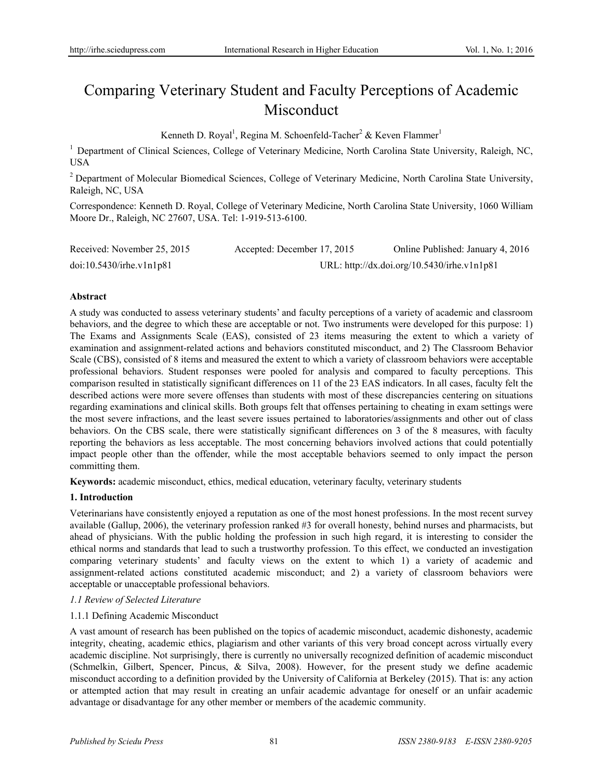# Comparing Veterinary Student and Faculty Perceptions of Academic Misconduct

Kenneth D. Royal<sup>1</sup>, Regina M. Schoenfeld-Tacher<sup>2</sup> & Keven Flammer<sup>1</sup>

<sup>1</sup> Department of Clinical Sciences, College of Veterinary Medicine, North Carolina State University, Raleigh, NC, USA

<sup>2</sup> Department of Molecular Biomedical Sciences, College of Veterinary Medicine, North Carolina State University, Raleigh, NC, USA

Correspondence: Kenneth D. Royal, College of Veterinary Medicine, North Carolina State University, 1060 William Moore Dr., Raleigh, NC 27607, USA. Tel: 1-919-513-6100.

| Received: November 25, 2015 | Accepted: December 17, 2015 | Online Published: January 4, 2016           |
|-----------------------------|-----------------------------|---------------------------------------------|
| doi:10.5430/irhe.v1n1p81    |                             | URL: http://dx.doi.org/10.5430/irhe.v1n1p81 |

## **Abstract**

A study was conducted to assess veterinary students' and faculty perceptions of a variety of academic and classroom behaviors, and the degree to which these are acceptable or not. Two instruments were developed for this purpose: 1) The Exams and Assignments Scale (EAS), consisted of 23 items measuring the extent to which a variety of examination and assignment-related actions and behaviors constituted misconduct, and 2) The Classroom Behavior Scale (CBS), consisted of 8 items and measured the extent to which a variety of classroom behaviors were acceptable professional behaviors. Student responses were pooled for analysis and compared to faculty perceptions. This comparison resulted in statistically significant differences on 11 of the 23 EAS indicators. In all cases, faculty felt the described actions were more severe offenses than students with most of these discrepancies centering on situations regarding examinations and clinical skills. Both groups felt that offenses pertaining to cheating in exam settings were the most severe infractions, and the least severe issues pertained to laboratories/assignments and other out of class behaviors. On the CBS scale, there were statistically significant differences on 3 of the 8 measures, with faculty reporting the behaviors as less acceptable. The most concerning behaviors involved actions that could potentially impact people other than the offender, while the most acceptable behaviors seemed to only impact the person committing them.

**Keywords:** academic misconduct, ethics, medical education, veterinary faculty, veterinary students

## **1. Introduction**

Veterinarians have consistently enjoyed a reputation as one of the most honest professions. In the most recent survey available (Gallup, 2006), the veterinary profession ranked #3 for overall honesty, behind nurses and pharmacists, but ahead of physicians. With the public holding the profession in such high regard, it is interesting to consider the ethical norms and standards that lead to such a trustworthy profession. To this effect, we conducted an investigation comparing veterinary students' and faculty views on the extent to which 1) a variety of academic and assignment-related actions constituted academic misconduct; and 2) a variety of classroom behaviors were acceptable or unacceptable professional behaviors.

## *1.1 Review of Selected Literature*

## 1.1.1 Defining Academic Misconduct

A vast amount of research has been published on the topics of academic misconduct, academic dishonesty, academic integrity, cheating, academic ethics, plagiarism and other variants of this very broad concept across virtually every academic discipline. Not surprisingly, there is currently no universally recognized definition of academic misconduct (Schmelkin, Gilbert, Spencer, Pincus, & Silva, 2008). However, for the present study we define academic misconduct according to a definition provided by the University of California at Berkeley (2015). That is: any action or attempted action that may result in creating an unfair academic advantage for oneself or an unfair academic advantage or disadvantage for any other member or members of the academic community.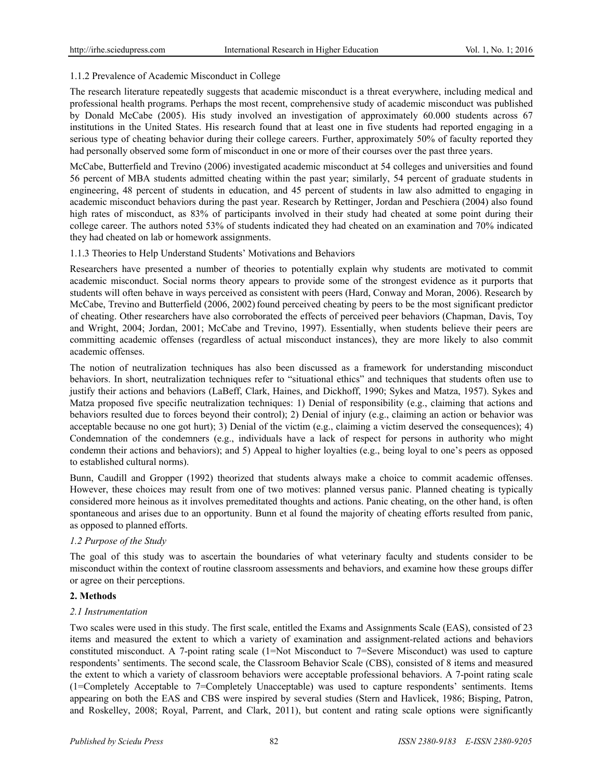# 1.1.2 Prevalence of Academic Misconduct in College

The research literature repeatedly suggests that academic misconduct is a threat everywhere, including medical and professional health programs. Perhaps the most recent, comprehensive study of academic misconduct was published by Donald McCabe (2005). His study involved an investigation of approximately 60.000 students across 67 institutions in the United States. His research found that at least one in five students had reported engaging in a serious type of cheating behavior during their college careers. Further, approximately 50% of faculty reported they had personally observed some form of misconduct in one or more of their courses over the past three years.

McCabe, Butterfield and Trevino (2006) investigated academic misconduct at 54 colleges and universities and found 56 percent of MBA students admitted cheating within the past year; similarly, 54 percent of graduate students in engineering, 48 percent of students in education, and 45 percent of students in law also admitted to engaging in academic misconduct behaviors during the past year. Research by Rettinger, Jordan and Peschiera (2004) also found high rates of misconduct, as 83% of participants involved in their study had cheated at some point during their college career. The authors noted 53% of students indicated they had cheated on an examination and 70% indicated they had cheated on lab or homework assignments.

## 1.1.3 Theories to Help Understand Students' Motivations and Behaviors

Researchers have presented a number of theories to potentially explain why students are motivated to commit academic misconduct. Social norms theory appears to provide some of the strongest evidence as it purports that students will often behave in ways perceived as consistent with peers (Hard, Conway and Moran, 2006). Research by McCabe, Trevino and Butterfield (2006, 2002) found perceived cheating by peers to be the most significant predictor of cheating. Other researchers have also corroborated the effects of perceived peer behaviors (Chapman, Davis, Toy and Wright, 2004; Jordan, 2001; McCabe and Trevino, 1997). Essentially, when students believe their peers are committing academic offenses (regardless of actual misconduct instances), they are more likely to also commit academic offenses.

The notion of neutralization techniques has also been discussed as a framework for understanding misconduct behaviors. In short, neutralization techniques refer to "situational ethics" and techniques that students often use to justify their actions and behaviors (LaBeff, Clark, Haines, and Dickhoff, 1990; Sykes and Matza, 1957). Sykes and Matza proposed five specific neutralization techniques: 1) Denial of responsibility (e.g., claiming that actions and behaviors resulted due to forces beyond their control); 2) Denial of injury (e.g., claiming an action or behavior was acceptable because no one got hurt); 3) Denial of the victim (e.g., claiming a victim deserved the consequences); 4) Condemnation of the condemners (e.g., individuals have a lack of respect for persons in authority who might condemn their actions and behaviors); and 5) Appeal to higher loyalties (e.g., being loyal to one's peers as opposed to established cultural norms).

Bunn, Caudill and Gropper (1992) theorized that students always make a choice to commit academic offenses. However, these choices may result from one of two motives: planned versus panic. Planned cheating is typically considered more heinous as it involves premeditated thoughts and actions. Panic cheating, on the other hand, is often spontaneous and arises due to an opportunity. Bunn et al found the majority of cheating efforts resulted from panic, as opposed to planned efforts.

# *1.2 Purpose of the Study*

The goal of this study was to ascertain the boundaries of what veterinary faculty and students consider to be misconduct within the context of routine classroom assessments and behaviors, and examine how these groups differ or agree on their perceptions.

## **2. Methods**

## *2.1 Instrumentation*

Two scales were used in this study. The first scale, entitled the Exams and Assignments Scale (EAS), consisted of 23 items and measured the extent to which a variety of examination and assignment-related actions and behaviors constituted misconduct. A 7-point rating scale (1=Not Misconduct to 7=Severe Misconduct) was used to capture respondents' sentiments. The second scale, the Classroom Behavior Scale (CBS), consisted of 8 items and measured the extent to which a variety of classroom behaviors were acceptable professional behaviors. A 7-point rating scale (1=Completely Acceptable to 7=Completely Unacceptable) was used to capture respondents' sentiments. Items appearing on both the EAS and CBS were inspired by several studies (Stern and Havlicek, 1986; Bisping, Patron, and Roskelley, 2008; Royal, Parrent, and Clark, 2011), but content and rating scale options were significantly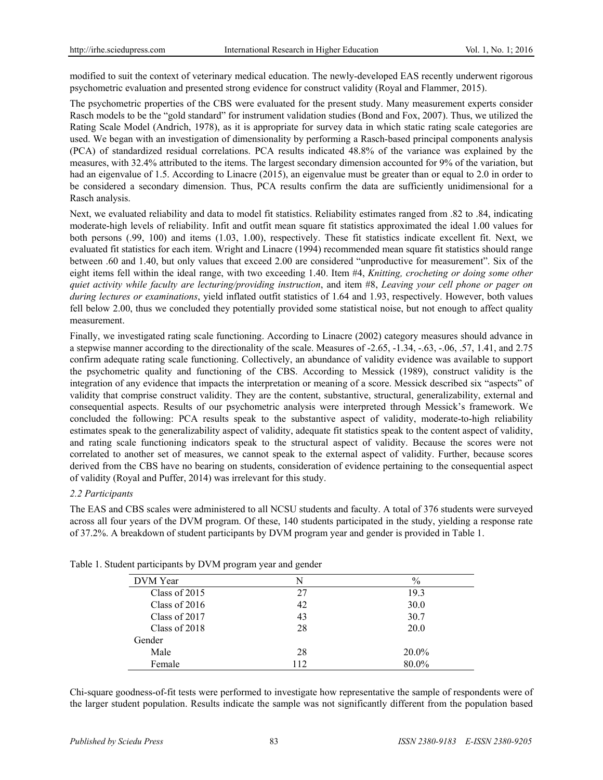modified to suit the context of veterinary medical education. The newly-developed EAS recently underwent rigorous psychometric evaluation and presented strong evidence for construct validity (Royal and Flammer, 2015).

The psychometric properties of the CBS were evaluated for the present study. Many measurement experts consider Rasch models to be the "gold standard" for instrument validation studies (Bond and Fox, 2007). Thus, we utilized the Rating Scale Model (Andrich, 1978), as it is appropriate for survey data in which static rating scale categories are used. We began with an investigation of dimensionality by performing a Rasch-based principal components analysis (PCA) of standardized residual correlations. PCA results indicated 48.8% of the variance was explained by the measures, with 32.4% attributed to the items. The largest secondary dimension accounted for 9% of the variation, but had an eigenvalue of 1.5. According to Linacre (2015), an eigenvalue must be greater than or equal to 2.0 in order to be considered a secondary dimension. Thus, PCA results confirm the data are sufficiently unidimensional for a Rasch analysis.

Next, we evaluated reliability and data to model fit statistics. Reliability estimates ranged from .82 to .84, indicating moderate-high levels of reliability. Infit and outfit mean square fit statistics approximated the ideal 1.00 values for both persons (.99, 100) and items (1.03, 1.00), respectively. These fit statistics indicate excellent fit. Next, we evaluated fit statistics for each item. Wright and Linacre (1994) recommended mean square fit statistics should range between .60 and 1.40, but only values that exceed 2.00 are considered "unproductive for measurement". Six of the eight items fell within the ideal range, with two exceeding 1.40. Item #4, *Knitting, crocheting or doing some other quiet activity while faculty are lecturing/providing instruction*, and item #8, *Leaving your cell phone or pager on during lectures or examinations*, yield inflated outfit statistics of 1.64 and 1.93, respectively. However, both values fell below 2.00, thus we concluded they potentially provided some statistical noise, but not enough to affect quality measurement.

Finally, we investigated rating scale functioning. According to Linacre (2002) category measures should advance in a stepwise manner according to the directionality of the scale. Measures of -2.65, -1.34, -.63, -.06, .57, 1.41, and 2.75 confirm adequate rating scale functioning. Collectively, an abundance of validity evidence was available to support the psychometric quality and functioning of the CBS. According to Messick (1989), construct validity is the integration of any evidence that impacts the interpretation or meaning of a score. Messick described six "aspects" of validity that comprise construct validity. They are the content, substantive, structural, generalizability, external and consequential aspects. Results of our psychometric analysis were interpreted through Messick's framework. We concluded the following: PCA results speak to the substantive aspect of validity, moderate-to-high reliability estimates speak to the generalizability aspect of validity, adequate fit statistics speak to the content aspect of validity, and rating scale functioning indicators speak to the structural aspect of validity. Because the scores were not correlated to another set of measures, we cannot speak to the external aspect of validity. Further, because scores derived from the CBS have no bearing on students, consideration of evidence pertaining to the consequential aspect of validity (Royal and Puffer, 2014) was irrelevant for this study.

## *2.2 Participants*

The EAS and CBS scales were administered to all NCSU students and faculty. A total of 376 students were surveyed across all four years of the DVM program. Of these, 140 students participated in the study, yielding a response rate of 37.2%. A breakdown of student participants by DVM program year and gender is provided in Table 1.

| DVM Year        | N   | $\%$     |
|-----------------|-----|----------|
| Class of $2015$ | 27  | 19.3     |
| Class of $2016$ | 42  | 30.0     |
| Class of 2017   | 43  | 30.7     |
| Class of 2018   | 28  | 20.0     |
| Gender          |     |          |
| Male            | 28  | $20.0\%$ |
| Female          | 112 | 80.0%    |

Table 1. Student participants by DVM program year and gender

Chi-square goodness-of-fit tests were performed to investigate how representative the sample of respondents were of the larger student population. Results indicate the sample was not significantly different from the population based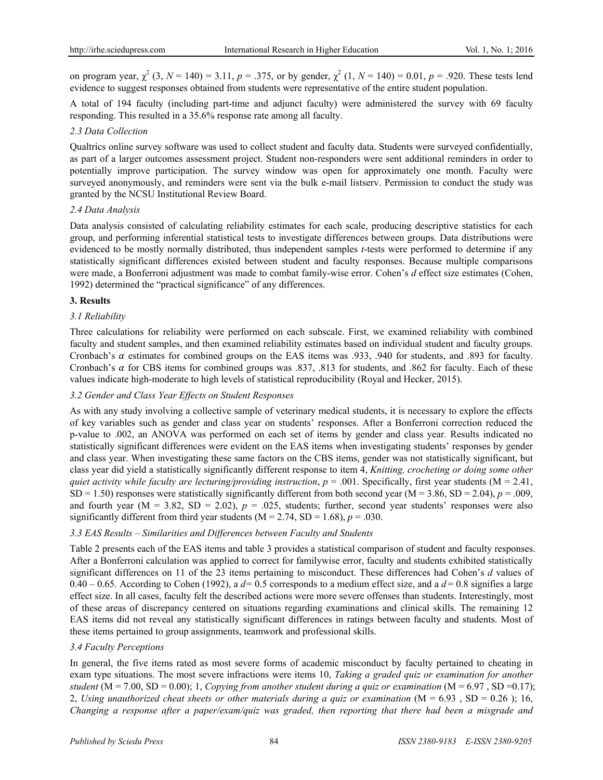on program year,  $\chi^2$  (3,  $N = 140$ ) = 3.11,  $p = .375$ , or by gender,  $\chi^2$  (1,  $N = 140$ ) = 0.01,  $p = .920$ . These tests lend evidence to suggest responses obtained from students were representative of the entire student population.

A total of 194 faculty (including part-time and adjunct faculty) were administered the survey with 69 faculty responding. This resulted in a 35.6% response rate among all faculty.

## *2.3 Data Collection*

Qualtrics online survey software was used to collect student and faculty data. Students were surveyed confidentially, as part of a larger outcomes assessment project. Student non-responders were sent additional reminders in order to potentially improve participation. The survey window was open for approximately one month. Faculty were surveyed anonymously, and reminders were sent via the bulk e-mail listserv. Permission to conduct the study was granted by the NCSU Institutional Review Board.

## *2.4 Data Analysis*

Data analysis consisted of calculating reliability estimates for each scale, producing descriptive statistics for each group, and performing inferential statistical tests to investigate differences between groups. Data distributions were evidenced to be mostly normally distributed, thus independent samples *t*-tests were performed to determine if any statistically significant differences existed between student and faculty responses. Because multiple comparisons were made, a Bonferroni adjustment was made to combat family-wise error. Cohen's *d* effect size estimates (Cohen, 1992) determined the "practical significance" of any differences.

## **3. Results**

## *3.1 Reliability*

Three calculations for reliability were performed on each subscale. First, we examined reliability with combined faculty and student samples, and then examined reliability estimates based on individual student and faculty groups. Cronbach's  $\alpha$  estimates for combined groups on the EAS items was .933, .940 for students, and .893 for faculty. Cronbach's  $\alpha$  for CBS items for combined groups was .837, .813 for students, and .862 for faculty. Each of these values indicate high-moderate to high levels of statistical reproducibility (Royal and Hecker, 2015).

## *3.2 Gender and Class Year Effects on Student Responses*

As with any study involving a collective sample of veterinary medical students, it is necessary to explore the effects of key variables such as gender and class year on students' responses. After a Bonferroni correction reduced the p-value to .002, an ANOVA was performed on each set of items by gender and class year. Results indicated no statistically significant differences were evident on the EAS items when investigating students' responses by gender and class year. When investigating these same factors on the CBS items, gender was not statistically significant, but class year did yield a statistically significantly different response to item 4, *Knitting, crocheting or doing some other quiet activity while faculty are lecturing/providing instruction,*  $p = .001$ *. Specifically, first year students (M = 2.41,* SD = 1.50) responses were statistically significantly different from both second year ( $M = 3.86$ , SD = 2.04),  $p = .009$ , and fourth year ( $M = 3.82$ ,  $SD = 2.02$ ),  $p = .025$ , students; further, second year students' responses were also significantly different from third year students  $(M = 2.74, SD = 1.68)$ ,  $p = .030$ .

#### *3.3 EAS Results – Similarities and Differences between Faculty and Students*

Table 2 presents each of the EAS items and table 3 provides a statistical comparison of student and faculty responses. After a Bonferroni calculation was applied to correct for familywise error, faculty and students exhibited statistically significant differences on 11 of the 23 items pertaining to misconduct. These differences had Cohen's *d* values of  $0.40 - 0.65$ . According to Cohen (1992), a  $d = 0.5$  corresponds to a medium effect size, and a  $d = 0.8$  signifies a large effect size. In all cases, faculty felt the described actions were more severe offenses than students. Interestingly, most of these areas of discrepancy centered on situations regarding examinations and clinical skills. The remaining 12 EAS items did not reveal any statistically significant differences in ratings between faculty and students. Most of these items pertained to group assignments, teamwork and professional skills.

#### *3.4 Faculty Perceptions*

In general, the five items rated as most severe forms of academic misconduct by faculty pertained to cheating in exam type situations. The most severe infractions were items 10, *Taking a graded quiz or examination for another student* (M = 7.00, SD = 0.00); 1, *Copying from another student during a quiz or examination* (M = 6.97, SD = 0.17); 2, *Using unauthorized cheat sheets or other materials during a quiz or examination* (M = 6.93 , SD = 0.26 ); 16, *Changing a response after a paper/exam/quiz was graded, then reporting that there had been a misgrade and*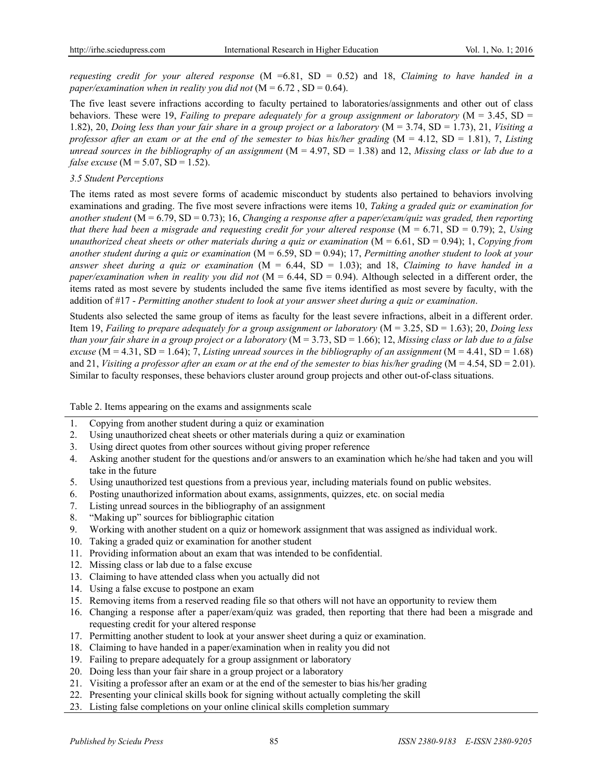*requesting credit for your altered response* (M =6.81, SD = 0.52) and 18, *Claiming to have handed in a paper/examination when in reality you did not*  $(M = 6.72, SD = 0.64)$ .

The five least severe infractions according to faculty pertained to laboratories/assignments and other out of class behaviors. These were 19, *Failing to prepare adequately for a group assignment or laboratory* (M = 3.45, SD = 1.82), 20, *Doing less than your fair share in a group project or a laboratory* (M = 3.74, SD = 1.73), 21, *Visiting a professor after an exam or at the end of the semester to bias his/her grading* (M = 4.12, SD = 1.81), 7, *Listing unread sources in the bibliography of an assignment* (M = 4.97, SD = 1.38) and 12, *Missing class or lab due to a false excuse* (M = 5.07, SD = 1.52).

## *3.5 Student Perceptions*

The items rated as most severe forms of academic misconduct by students also pertained to behaviors involving examinations and grading. The five most severe infractions were items 10, *Taking a graded quiz or examination for another student* (M = 6.79, SD = 0.73); 16, *Changing a response after a paper/exam/quiz was graded, then reporting that there had been a misgrade and requesting credit for your altered response*  $(M = 6.71, SD = 0.79)$ ; 2, *Using unauthorized cheat sheets or other materials during a quiz or examination* (M = 6.61, SD = 0.94); 1, *Copying from another student during a quiz or examination* (M = 6.59, SD = 0.94); 17, *Permitting another student to look at your answer sheet during a quiz or examination* (M = 6.44, SD = 1.03); and 18, *Claiming to have handed in a paper/examination when in reality you did not* (M = 6.44, SD = 0.94). Although selected in a different order, the items rated as most severe by students included the same five items identified as most severe by faculty, with the addition of #17 - *Permitting another student to look at your answer sheet during a quiz or examination*.

Students also selected the same group of items as faculty for the least severe infractions, albeit in a different order. Item 19, *Failing to prepare adequately for a group assignment or laboratory* (M = 3.25, SD = 1.63); 20, *Doing less than your fair share in a group project or a laboratory* (M = 3.73, SD = 1.66); 12, *Missing class or lab due to a false excuse* ( $M = 4.31$ ,  $SD = 1.64$ ); 7, *Listing unread sources in the bibliography of an assignment* ( $M = 4.41$ ,  $SD = 1.68$ ) and 21, *Visiting a professor after an exam or at the end of the semester to bias his/her grading* (M = 4.54, SD = 2.01). Similar to faculty responses, these behaviors cluster around group projects and other out-of-class situations.

Table 2. Items appearing on the exams and assignments scale

- 1. Copying from another student during a quiz or examination
- 2. Using unauthorized cheat sheets or other materials during a quiz or examination
- 3. Using direct quotes from other sources without giving proper reference
- 4. Asking another student for the questions and/or answers to an examination which he/she had taken and you will take in the future
- 5. Using unauthorized test questions from a previous year, including materials found on public websites.
- 6. Posting unauthorized information about exams, assignments, quizzes, etc. on social media
- 7. Listing unread sources in the bibliography of an assignment
- 8. "Making up" sources for bibliographic citation
- 9. Working with another student on a quiz or homework assignment that was assigned as individual work.
- 10. Taking a graded quiz or examination for another student
- 11. Providing information about an exam that was intended to be confidential.
- 12. Missing class or lab due to a false excuse
- 13. Claiming to have attended class when you actually did not
- 14. Using a false excuse to postpone an exam
- 15. Removing items from a reserved reading file so that others will not have an opportunity to review them
- 16. Changing a response after a paper/exam/quiz was graded, then reporting that there had been a misgrade and requesting credit for your altered response
- 17. Permitting another student to look at your answer sheet during a quiz or examination.
- 18. Claiming to have handed in a paper/examination when in reality you did not
- 19. Failing to prepare adequately for a group assignment or laboratory
- 20. Doing less than your fair share in a group project or a laboratory
- 21. Visiting a professor after an exam or at the end of the semester to bias his/her grading
- 22. Presenting your clinical skills book for signing without actually completing the skill
- 23. Listing false completions on your online clinical skills completion summary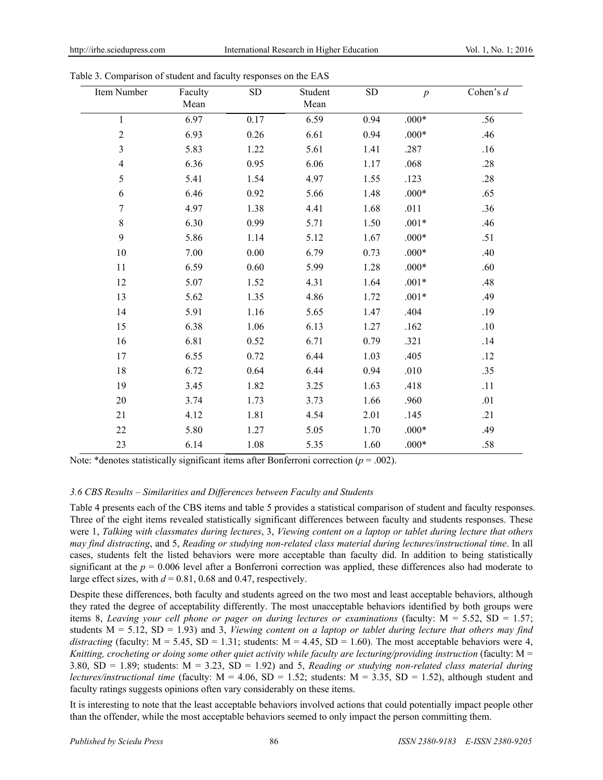| Item Number    | Faculty<br>Mean | ${\rm SD}$ | Student<br>Mean | ${\rm SD}$ | $\boldsymbol{p}$ | Cohen's $d$ |
|----------------|-----------------|------------|-----------------|------------|------------------|-------------|
| $\mathbf{1}$   | 6.97            | 0.17       | 6.59            | 0.94       | $.000*$          | .56         |
| $\sqrt{2}$     | 6.93            | 0.26       | 6.61            | 0.94       | $.000*$          | .46         |
| $\mathfrak{Z}$ | 5.83            | 1.22       | 5.61            | 1.41       | .287             | .16         |
| $\overline{4}$ | 6.36            | 0.95       | 6.06            | 1.17       | .068             | .28         |
| 5              | 5.41            | 1.54       | 4.97            | 1.55       | .123             | .28         |
| 6              | 6.46            | 0.92       | 5.66            | 1.48       | $.000*$          | .65         |
| 7              | 4.97            | 1.38       | 4.41            | 1.68       | .011             | .36         |
| $\,8\,$        | 6.30            | 0.99       | 5.71            | 1.50       | $.001*$          | .46         |
| 9              | 5.86            | 1.14       | 5.12            | 1.67       | $.000*$          | .51         |
| 10             | 7.00            | 0.00       | 6.79            | 0.73       | $.000*$          | .40         |
| 11             | 6.59            | 0.60       | 5.99            | 1.28       | $.000*$          | .60         |
| 12             | 5.07            | 1.52       | 4.31            | 1.64       | $.001*$          | .48         |
| 13             | 5.62            | 1.35       | 4.86            | 1.72       | $.001*$          | .49         |
| 14             | 5.91            | 1.16       | 5.65            | 1.47       | .404             | .19         |
| 15             | 6.38            | 1.06       | 6.13            | 1.27       | .162             | .10         |
| 16             | 6.81            | 0.52       | 6.71            | 0.79       | .321             | .14         |
| 17             | 6.55            | 0.72       | 6.44            | 1.03       | .405             | .12         |
| 18             | 6.72            | 0.64       | 6.44            | 0.94       | .010             | .35         |
| 19             | 3.45            | 1.82       | 3.25            | 1.63       | .418             | .11         |
| 20             | 3.74            | 1.73       | 3.73            | 1.66       | .960             | .01         |
| 21             | 4.12            | 1.81       | 4.54            | 2.01       | .145             | .21         |
| 22             | 5.80            | 1.27       | 5.05            | 1.70       | $.000*$          | .49         |
| 23             | 6.14            | 1.08       | 5.35            | 1.60       | $.000*$          | .58         |

Table 3. Comparison of student and faculty responses on the EAS

Note: \*denotes statistically significant items after Bonferroni correction ( $p = .002$ ).

## *3.6 CBS Results – Similarities and Differences between Faculty and Students*

Table 4 presents each of the CBS items and table 5 provides a statistical comparison of student and faculty responses. Three of the eight items revealed statistically significant differences between faculty and students responses. These were 1, *Talking with classmates during lectures*, 3, *Viewing content on a laptop or tablet during lecture that others may find distracting*, and 5, *Reading or studying non-related class material during lectures/instructional time*. In all cases, students felt the listed behaviors were more acceptable than faculty did. In addition to being statistically significant at the  $p = 0.006$  level after a Bonferroni correction was applied, these differences also had moderate to large effect sizes, with  $d = 0.81$ , 0.68 and 0.47, respectively.

Despite these differences, both faculty and students agreed on the two most and least acceptable behaviors, although they rated the degree of acceptability differently. The most unacceptable behaviors identified by both groups were items 8, *Leaving your cell phone or pager on during lectures or examinations* (faculty: M = 5.52, SD = 1.57; students  $M = 5.12$ ,  $SD = 1.93$ ) and 3, *Viewing content on a laptop or tablet during lecture that others may find distracting* (faculty:  $M = 5.45$ ,  $SD = 1.31$ ; students:  $M = 4.45$ ,  $SD = 1.60$ ). The most acceptable behaviors were 4, *Knitting, crocheting or doing some other quiet activity while faculty are lecturing/providing instruction* (faculty: M = 3.80,  $SD = 1.89$ ; students:  $M = 3.23$ ,  $SD = 1.92$ ) and 5, *Reading or studying non-related class material during lectures/instructional time* (faculty:  $M = 4.06$ ,  $SD = 1.52$ ; students:  $M = 3.35$ ,  $SD = 1.52$ ), although student and faculty ratings suggests opinions often vary considerably on these items.

It is interesting to note that the least acceptable behaviors involved actions that could potentially impact people other than the offender, while the most acceptable behaviors seemed to only impact the person committing them.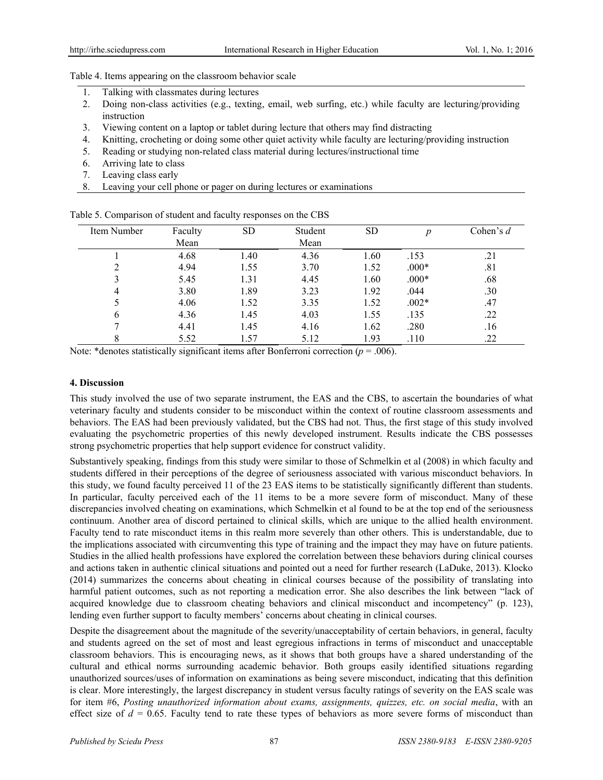Table 4. Items appearing on the classroom behavior scale

- 1. Talking with classmates during lectures
- 2. Doing non-class activities (e.g., texting, email, web surfing, etc.) while faculty are lecturing/providing instruction
- 3. Viewing content on a laptop or tablet during lecture that others may find distracting
- 4. Knitting, crocheting or doing some other quiet activity while faculty are lecturing/providing instruction
- 5. Reading or studying non-related class material during lectures/instructional time
- 6. Arriving late to class
- 7. Leaving class early
- 8. Leaving your cell phone or pager on during lectures or examinations

| Item Number | Faculty | <b>SD</b> | Student | SD   | n       | Cohen's $d$ |
|-------------|---------|-----------|---------|------|---------|-------------|
|             | Mean    |           | Mean    |      |         |             |
|             | 4.68    | 1.40      | 4.36    | 1.60 | .153    | .21         |
| ∍           | 4.94    | 1.55      | 3.70    | 1.52 | $.000*$ | .81         |
|             | 5.45    | 1.31      | 4.45    | 1.60 | $.000*$ | .68         |
| 4           | 3.80    | 1.89      | 3.23    | 1.92 | .044    | .30         |
|             | 4.06    | 1.52      | 3.35    | 1.52 | $.002*$ | .47         |
| b           | 4.36    | 1.45      | 4.03    | 1.55 | .135    | .22         |
|             | 4.41    | 1.45      | 4.16    | 1.62 | .280    | .16         |
| O<br>◠      | 5.52    | 1.57      | 5.12    | 1.93 | .110    | .22         |

Table 5. Comparison of student and faculty responses on the CBS

Note: \*denotes statistically significant items after Bonferroni correction ( $p = .006$ ).

#### **4. Discussion**

This study involved the use of two separate instrument, the EAS and the CBS, to ascertain the boundaries of what veterinary faculty and students consider to be misconduct within the context of routine classroom assessments and behaviors. The EAS had been previously validated, but the CBS had not. Thus, the first stage of this study involved evaluating the psychometric properties of this newly developed instrument. Results indicate the CBS possesses strong psychometric properties that help support evidence for construct validity.

Substantively speaking, findings from this study were similar to those of Schmelkin et al (2008) in which faculty and students differed in their perceptions of the degree of seriousness associated with various misconduct behaviors. In this study, we found faculty perceived 11 of the 23 EAS items to be statistically significantly different than students. In particular, faculty perceived each of the 11 items to be a more severe form of misconduct. Many of these discrepancies involved cheating on examinations, which Schmelkin et al found to be at the top end of the seriousness continuum. Another area of discord pertained to clinical skills, which are unique to the allied health environment. Faculty tend to rate misconduct items in this realm more severely than other others. This is understandable, due to the implications associated with circumventing this type of training and the impact they may have on future patients. Studies in the allied health professions have explored the correlation between these behaviors during clinical courses and actions taken in authentic clinical situations and pointed out a need for further research (LaDuke, 2013). Klocko (2014) summarizes the concerns about cheating in clinical courses because of the possibility of translating into harmful patient outcomes, such as not reporting a medication error. She also describes the link between "lack of acquired knowledge due to classroom cheating behaviors and clinical misconduct and incompetency" (p. 123), lending even further support to faculty members' concerns about cheating in clinical courses.

Despite the disagreement about the magnitude of the severity/unacceptability of certain behaviors, in general, faculty and students agreed on the set of most and least egregious infractions in terms of misconduct and unacceptable classroom behaviors. This is encouraging news, as it shows that both groups have a shared understanding of the cultural and ethical norms surrounding academic behavior. Both groups easily identified situations regarding unauthorized sources/uses of information on examinations as being severe misconduct, indicating that this definition is clear. More interestingly, the largest discrepancy in student versus faculty ratings of severity on the EAS scale was for item #6, *Posting unauthorized information about exams, assignments, quizzes, etc. on social media*, with an effect size of  $d = 0.65$ . Faculty tend to rate these types of behaviors as more severe forms of misconduct than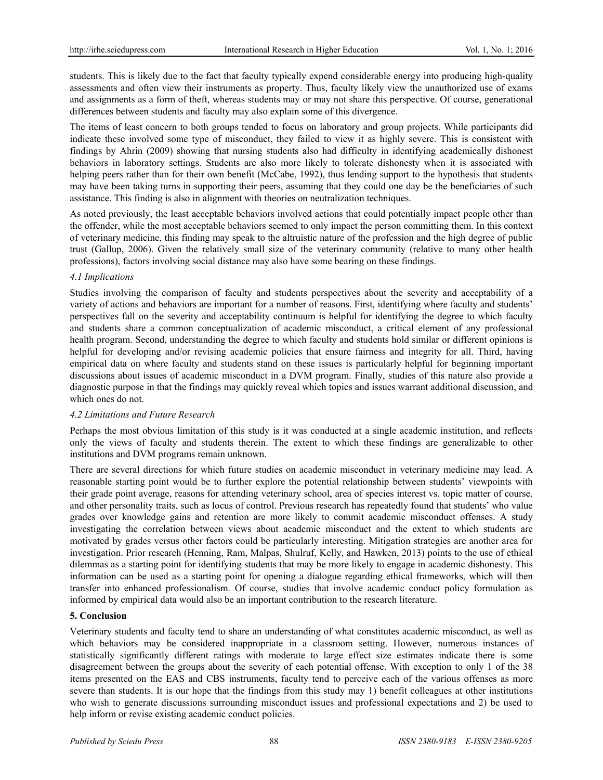students. This is likely due to the fact that faculty typically expend considerable energy into producing high-quality assessments and often view their instruments as property. Thus, faculty likely view the unauthorized use of exams and assignments as a form of theft, whereas students may or may not share this perspective. Of course, generational differences between students and faculty may also explain some of this divergence.

The items of least concern to both groups tended to focus on laboratory and group projects. While participants did indicate these involved some type of misconduct, they failed to view it as highly severe. This is consistent with findings by Ahrin (2009) showing that nursing students also had difficulty in identifying academically dishonest behaviors in laboratory settings. Students are also more likely to tolerate dishonesty when it is associated with helping peers rather than for their own benefit (McCabe, 1992), thus lending support to the hypothesis that students may have been taking turns in supporting their peers, assuming that they could one day be the beneficiaries of such assistance. This finding is also in alignment with theories on neutralization techniques.

As noted previously, the least acceptable behaviors involved actions that could potentially impact people other than the offender, while the most acceptable behaviors seemed to only impact the person committing them. In this context of veterinary medicine, this finding may speak to the altruistic nature of the profession and the high degree of public trust (Gallup, 2006). Given the relatively small size of the veterinary community (relative to many other health professions), factors involving social distance may also have some bearing on these findings.

# *4.1 Implications*

Studies involving the comparison of faculty and students perspectives about the severity and acceptability of a variety of actions and behaviors are important for a number of reasons. First, identifying where faculty and students' perspectives fall on the severity and acceptability continuum is helpful for identifying the degree to which faculty and students share a common conceptualization of academic misconduct, a critical element of any professional health program. Second, understanding the degree to which faculty and students hold similar or different opinions is helpful for developing and/or revising academic policies that ensure fairness and integrity for all. Third, having empirical data on where faculty and students stand on these issues is particularly helpful for beginning important discussions about issues of academic misconduct in a DVM program. Finally, studies of this nature also provide a diagnostic purpose in that the findings may quickly reveal which topics and issues warrant additional discussion, and which ones do not.

## *4.2 Limitations and Future Research*

Perhaps the most obvious limitation of this study is it was conducted at a single academic institution, and reflects only the views of faculty and students therein. The extent to which these findings are generalizable to other institutions and DVM programs remain unknown.

There are several directions for which future studies on academic misconduct in veterinary medicine may lead. A reasonable starting point would be to further explore the potential relationship between students' viewpoints with their grade point average, reasons for attending veterinary school, area of species interest vs. topic matter of course, and other personality traits, such as locus of control. Previous research has repeatedly found that students' who value grades over knowledge gains and retention are more likely to commit academic misconduct offenses. A study investigating the correlation between views about academic misconduct and the extent to which students are motivated by grades versus other factors could be particularly interesting. Mitigation strategies are another area for investigation. Prior research (Henning, Ram, Malpas, Shulruf, Kelly, and Hawken, 2013) points to the use of ethical dilemmas as a starting point for identifying students that may be more likely to engage in academic dishonesty. This information can be used as a starting point for opening a dialogue regarding ethical frameworks, which will then transfer into enhanced professionalism. Of course, studies that involve academic conduct policy formulation as informed by empirical data would also be an important contribution to the research literature.

# **5. Conclusion**

Veterinary students and faculty tend to share an understanding of what constitutes academic misconduct, as well as which behaviors may be considered inappropriate in a classroom setting. However, numerous instances of statistically significantly different ratings with moderate to large effect size estimates indicate there is some disagreement between the groups about the severity of each potential offense. With exception to only 1 of the 38 items presented on the EAS and CBS instruments, faculty tend to perceive each of the various offenses as more severe than students. It is our hope that the findings from this study may 1) benefit colleagues at other institutions who wish to generate discussions surrounding misconduct issues and professional expectations and 2) be used to help inform or revise existing academic conduct policies.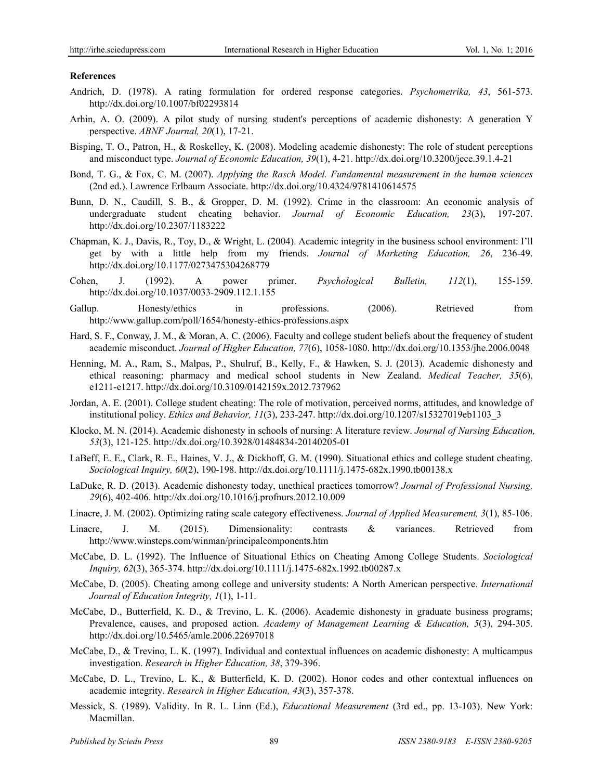#### **References**

- Andrich, D. (1978). A rating formulation for ordered response categories. *Psychometrika, 43*, 561-573. http://dx.doi.org/10.1007/bf02293814
- Arhin, A. O. (2009). A pilot study of nursing student's perceptions of academic dishonesty: A generation Y perspective. *ABNF Journal, 20*(1), 17-21.
- Bisping, T. O., Patron, H., & Roskelley, K. (2008). Modeling academic dishonesty: The role of student perceptions and misconduct type. *Journal of Economic Education, 39*(1), 4-21. http://dx.doi.org/10.3200/jece.39.1.4-21
- Bond, T. G., & Fox, C. M. (2007). *Applying the Rasch Model. Fundamental measurement in the human sciences* (2nd ed.). Lawrence Erlbaum Associate. http://dx.doi.org/10.4324/9781410614575
- Bunn, D. N., Caudill, S. B., & Gropper, D. M. (1992). Crime in the classroom: An economic analysis of undergraduate student cheating behavior. *Journal of Economic Education, 23*(3), 197-207. http://dx.doi.org/10.2307/1183222
- Chapman, K. J., Davis, R., Toy, D., & Wright, L. (2004). Academic integrity in the business school environment: I'll get by with a little help from my friends. *Journal of Marketing Education, 26*, 236-49. http://dx.doi.org/10.1177/0273475304268779
- Cohen, J. (1992). A power primer. *Psychological Bulletin, 112*(1), 155-159. http://dx.doi.org/10.1037/0033-2909.112.1.155
- Gallup. Honesty/ethics in professions. (2006). Retrieved from http://www.gallup.com/poll/1654/honesty-ethics-professions.aspx
- Hard, S. F., Conway, J. M., & Moran, A. C. (2006). Faculty and college student beliefs about the frequency of student academic misconduct. *Journal of Higher Education, 77*(6), 1058-1080. http://dx.doi.org/10.1353/jhe.2006.0048
- Henning, M. A., Ram, S., Malpas, P., Shulruf, B., Kelly, F., & Hawken, S. J. (2013). Academic dishonesty and ethical reasoning: pharmacy and medical school students in New Zealand. *Medical Teacher, 35*(6), e1211-e1217. http://dx.doi.org/10.3109/0142159x.2012.737962
- Jordan, A. E. (2001). College student cheating: The role of motivation, perceived norms, attitudes, and knowledge of institutional policy. *Ethics and Behavior, 11*(3), 233-247. http://dx.doi.org/10.1207/s15327019eb1103\_3
- Klocko, M. N. (2014). Academic dishonesty in schools of nursing: A literature review. *Journal of Nursing Education, 53*(3), 121-125. http://dx.doi.org/10.3928/01484834-20140205-01
- LaBeff, E. E., Clark, R. E., Haines, V. J., & Dickhoff, G. M. (1990). Situational ethics and college student cheating. *Sociological Inquiry, 60*(2), 190-198. http://dx.doi.org/10.1111/j.1475-682x.1990.tb00138.x
- LaDuke, R. D. (2013). Academic dishonesty today, unethical practices tomorrow? *Journal of Professional Nursing, 29*(6), 402-406. http://dx.doi.org/10.1016/j.profnurs.2012.10.009
- Linacre, J. M. (2002). Optimizing rating scale category effectiveness. *Journal of Applied Measurement, 3*(1), 85-106.
- Linacre, J. M. (2015). Dimensionality: contrasts & variances. Retrieved from http://www.winsteps.com/winman/principalcomponents.htm
- McCabe, D. L. (1992). The Influence of Situational Ethics on Cheating Among College Students. *Sociological Inquiry, 62*(3), 365-374. http://dx.doi.org/10.1111/j.1475-682x.1992.tb00287.x
- McCabe, D. (2005). Cheating among college and university students: A North American perspective. *International Journal of Education Integrity, 1*(1), 1-11.
- McCabe, D., Butterfield, K. D., & Trevino, L. K. (2006). Academic dishonesty in graduate business programs; Prevalence, causes, and proposed action. *Academy of Management Learning & Education, 5*(3), 294-305. http://dx.doi.org/10.5465/amle.2006.22697018
- McCabe, D., & Trevino, L. K. (1997). Individual and contextual influences on academic dishonesty: A multicampus investigation. *Research in Higher Education, 38*, 379-396.
- McCabe, D. L., Trevino, L. K., & Butterfield, K. D. (2002). Honor codes and other contextual influences on academic integrity. *Research in Higher Education, 43*(3), 357-378.
- Messick, S. (1989). Validity. In R. L. Linn (Ed.), *Educational Measurement* (3rd ed., pp. 13-103). New York: Macmillan.